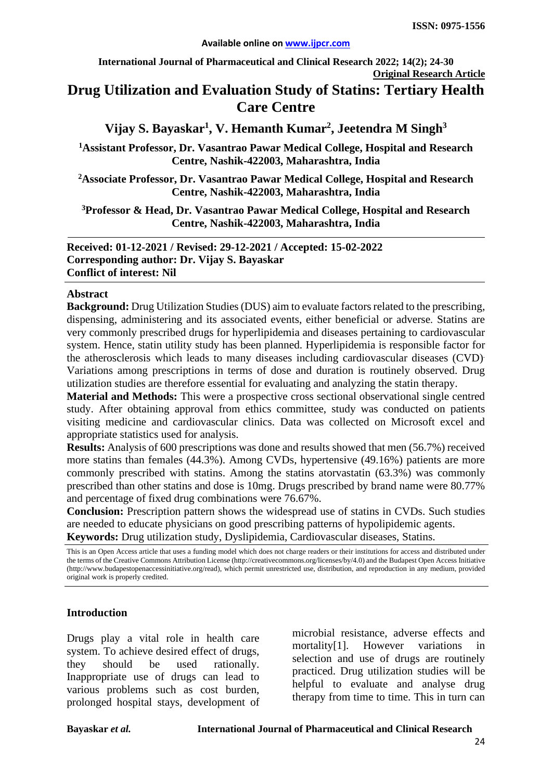**International Journal of Pharmaceutical and Clinical Research 2022; 14(2); 24-30 Original Research Article**

# **Drug Utilization and Evaluation Study of Statins: Tertiary Health Care Centre**

## **Vijay S. Bayaskar1 , V. Hemanth Kumar2 , Jeetendra M Singh3**

**1 Assistant Professor, Dr. Vasantrao Pawar Medical College, Hospital and Research Centre, Nashik-422003, Maharashtra, India**

**2 Associate Professor, Dr. Vasantrao Pawar Medical College, Hospital and Research Centre, Nashik-422003, Maharashtra, India**

**3Professor & Head, Dr. Vasantrao Pawar Medical College, Hospital and Research Centre, Nashik-422003, Maharashtra, India**

**Received: 01-12-2021 / Revised: 29-12-2021 / Accepted: 15-02-2022 Corresponding author: Dr. Vijay S. Bayaskar Conflict of interest: Nil**

#### **Abstract**

**Background:** Drug Utilization Studies (DUS) aim to evaluate factors related to the prescribing, dispensing, administering and its associated events, either beneficial or adverse. Statins are very commonly prescribed drugs for hyperlipidemia and diseases pertaining to cardiovascular system. Hence, statin utility study has been planned. Hyperlipidemia is responsible factor for the atherosclerosis which leads to many diseases including cardiovascular diseases (CVD). Variations among prescriptions in terms of dose and duration is routinely observed. Drug utilization studies are therefore essential for evaluating and analyzing the statin therapy.

**Material and Methods:** This were a prospective cross sectional observational single centred study. After obtaining approval from ethics committee, study was conducted on patients visiting medicine and cardiovascular clinics. Data was collected on Microsoft excel and appropriate statistics used for analysis.

**Results:** Analysis of 600 prescriptions was done and results showed that men (56.7%) received more statins than females (44.3%). Among CVDs, hypertensive (49.16%) patients are more commonly prescribed with statins. Among the statins atorvastatin (63.3%) was commonly prescribed than other statins and dose is 10mg. Drugs prescribed by brand name were 80.77% and percentage of fixed drug combinations were 76.67%.

**Conclusion:** Prescription pattern shows the widespread use of statins in CVDs. Such studies are needed to educate physicians on good prescribing patterns of hypolipidemic agents. **Keywords:** Drug utilization study, Dyslipidemia, Cardiovascular diseases, Statins.

This is an Open Access article that uses a funding model which does not charge readers or their institutions for access and distributed under the terms of the Creative Commons Attribution License (http://creativecommons.org/licenses/by/4.0) and the Budapest Open Access Initiative (http://www.budapestopenaccessinitiative.org/read), which permit unrestricted use, distribution, and reproduction in any medium, provided original work is properly credited.

#### **Introduction**

Drugs play a vital role in health care system. To achieve desired effect of drugs, they should be used rationally. Inappropriate use of drugs can lead to various problems such as cost burden, prolonged hospital stays, development of microbial resistance, adverse effects and mortality[1]. However variations in selection and use of drugs are routinely practiced. Drug utilization studies will be helpful to evaluate and analyse drug therapy from time to time. This in turn can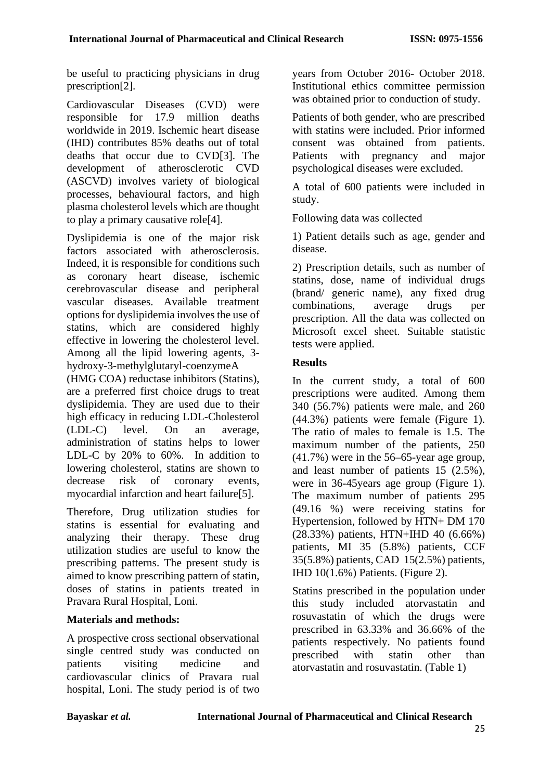be useful to practicing physicians in drug prescription[2].

Cardiovascular Diseases (CVD) were responsible for 17.9 million deaths worldwide in 2019. Ischemic heart disease (IHD) contributes 85% deaths out of total deaths that occur due to CVD[3]. The development of atherosclerotic CVD (ASCVD) involves variety of biological processes, behavioural factors, and high plasma cholesterol levels which are thought to play a primary causative role[4].

Dyslipidemia is one of the major risk factors associated with atherosclerosis. Indeed, it is responsible for conditions such as coronary heart disease, ischemic cerebrovascular disease and peripheral vascular diseases. Available treatment options for dyslipidemia involves the use of statins, which are considered highly effective in lowering the cholesterol level. Among all the lipid lowering agents, 3 hydroxy-3-methylglutaryl-coenzymeA

(HMG COA) reductase inhibitors (Statins), are a preferred first choice drugs to treat dyslipidemia. They are used due to their high efficacy in reducing LDL-Cholesterol (LDL-C) level. On an average, administration of statins helps to lower LDL-C by 20% to 60%. In addition to lowering cholesterol, statins are shown to decrease risk of coronary events, myocardial infarction and heart failure[5].

Therefore, Drug utilization studies for statins is essential for evaluating and analyzing their therapy. These drug utilization studies are useful to know the prescribing patterns. The present study is aimed to know prescribing pattern of statin, doses of statins in patients treated in Pravara Rural Hospital, Loni.

### **Materials and methods:**

A prospective cross sectional observational single centred study was conducted on patients visiting medicine and cardiovascular clinics of Pravara rual hospital, Loni. The study period is of two years from October 2016- October 2018. Institutional ethics committee permission was obtained prior to conduction of study.

Patients of both gender, who are prescribed with statins were included. Prior informed consent was obtained from patients. Patients with pregnancy and major psychological diseases were excluded.

A total of 600 patients were included in study.

Following data was collected

1) Patient details such as age, gender and disease.

2) Prescription details, such as number of statins, dose, name of individual drugs (brand/ generic name), any fixed drug combinations, average drugs per prescription. All the data was collected on Microsoft excel sheet. Suitable statistic tests were applied.

### **Results**

In the current study, a total of 600 prescriptions were audited. Among them 340 (56.7%) patients were male, and 260 (44.3%) patients were female (Figure 1). The ratio of males to female is 1.5. The maximum number of the patients, 250 (41.7%) were in the 56–65-year age group, and least number of patients 15 (2.5%), were in 36-45years age group (Figure 1). The maximum number of patients 295 (49.16 %) were receiving statins for Hypertension, followed by HTN+ DM 170 (28.33%) patients, HTN+IHD 40 (6.66%) patients, MI 35 (5.8%) patients, CCF 35(5.8%) patients, CAD 15(2.5%) patients, IHD 10(1.6%) Patients. (Figure 2).

Statins prescribed in the population under this study included atorvastatin and rosuvastatin of which the drugs were prescribed in 63.33% and 36.66% of the patients respectively. No patients found prescribed with statin other than atorvastatin and rosuvastatin. (Table 1)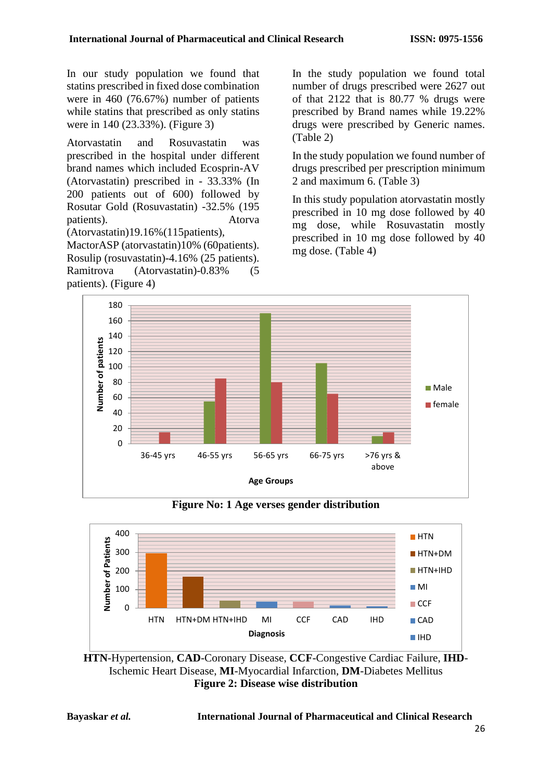In our study population we found that statins prescribed in fixed dose combination were in 460 (76.67%) number of patients while statins that prescribed as only statins were in 140 (23.33%). (Figure 3)

Atorvastatin and Rosuvastatin was prescribed in the hospital under different brand names which included Ecosprin-AV (Atorvastatin) prescribed in - 33.33% (In 200 patients out of 600) followed by Rosutar Gold (Rosuvastatin) -32.5% (195 patients). Atorva (Atorvastatin)19.16%(115patients),

MactorASP (atorvastatin)10% (60patients). Rosulip (rosuvastatin)-4.16% (25 patients). Ramitrova (Atorvastatin)-0.83% (5 patients). (Figure 4)

In the study population we found total number of drugs prescribed were 2627 out of that 2122 that is 80.77 % drugs were prescribed by Brand names while 19.22% drugs were prescribed by Generic names. (Table 2)

In the study population we found number of drugs prescribed per prescription minimum 2 and maximum 6. (Table 3)

In this study population atorvastatin mostly prescribed in 10 mg dose followed by 40 mg dose, while Rosuvastatin mostly prescribed in 10 mg dose followed by 40 mg dose. (Table 4)



**Figure No: 1 Age verses gender distribution**



**HTN**-Hypertension, **CAD**-Coronary Disease, **CCF**-Congestive Cardiac Failure, **IHD**-Ischemic Heart Disease, **MI**-Myocardial Infarction, **DM**-Diabetes Mellitus **Figure 2: Disease wise distribution**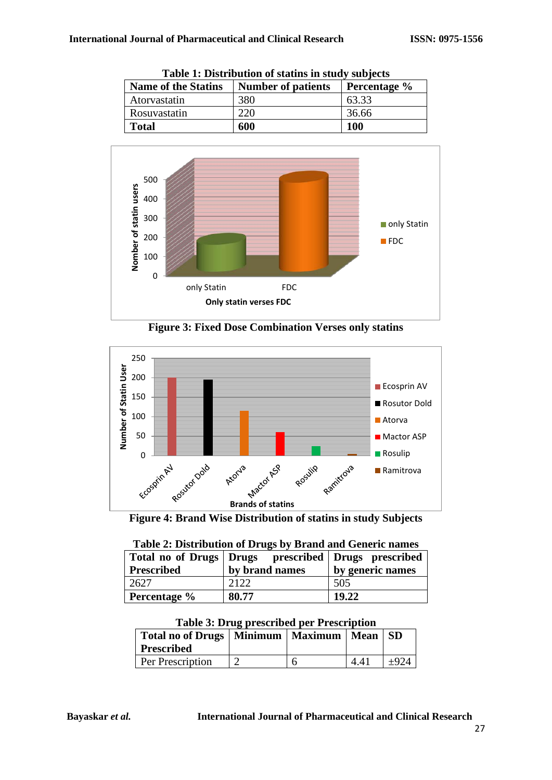| Table 1: Distribution of stating in stau , subjects |                           |              |  |
|-----------------------------------------------------|---------------------------|--------------|--|
| <b>Name of the Statins</b>                          | <b>Number of patients</b> | Percentage % |  |
| Atorvastatin                                        | 380                       | 63.33        |  |
| Rosuvastatin                                        | 220                       | 36.66        |  |
| <b>Total</b>                                        | 600                       | <b>100</b>   |  |

**Table 1: Distribution of statins in study subjects**



**Figure 3: Fixed Dose Combination Verses only statins**



**Figure 4: Brand Wise Distribution of statins in study Subjects**

| Table 2. Distribution of Drugs by Dramu and Generic names |                                                             |                  |  |  |
|-----------------------------------------------------------|-------------------------------------------------------------|------------------|--|--|
|                                                           | Total no of Drugs   Drugs   prescribed   Drugs   prescribed |                  |  |  |
| <b>Prescribed</b>                                         | by brand names                                              | by generic names |  |  |
| 2627                                                      | 2122                                                        | 505              |  |  |
| Percentage %                                              | 80.77                                                       | 19.22            |  |  |

| Table 2: Distribution of Drugs by Brand and Generic names |
|-----------------------------------------------------------|
|-----------------------------------------------------------|

| Table 5. Drug preseribed per Trescription         |  |  |  |  |  |
|---------------------------------------------------|--|--|--|--|--|
| Total no of Drugs   Minimum   Maximum   Mean   SD |  |  |  |  |  |
| <b>Prescribed</b>                                 |  |  |  |  |  |

Per Prescription  $\begin{array}{|c|c|c|c|c|} \hline 2 & 6 & 4.41 & \pm 924 \ \hline \end{array}$ 

|  |  | <b>Table 3: Drug prescribed per Prescription</b> |  |  |
|--|--|--------------------------------------------------|--|--|
|--|--|--------------------------------------------------|--|--|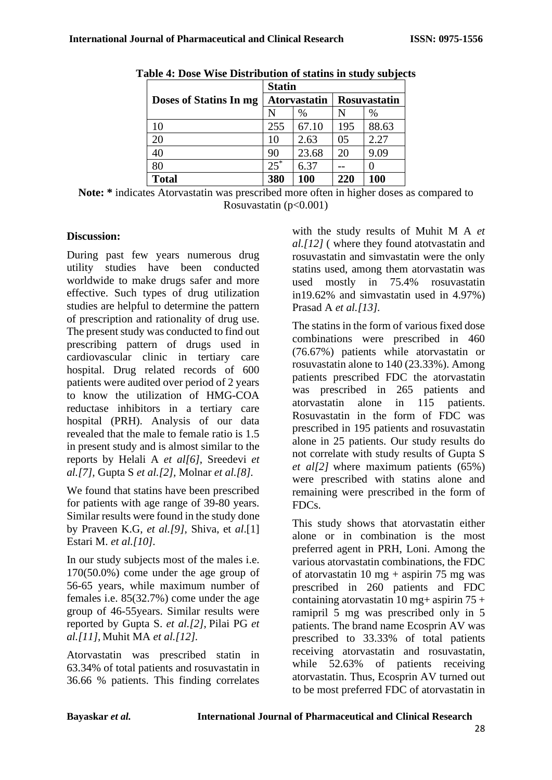|                        | <b>Statin</b>       |       |              |       |
|------------------------|---------------------|-------|--------------|-------|
| Doses of Statins In mg | <b>Atorvastatin</b> |       | Rosuvastatin |       |
|                        | N                   | $\%$  | N            | $\%$  |
| 10                     | 255                 | 67.10 | 195          | 88.63 |
| 20                     | 10                  | 2.63  | 05           | 2.27  |
| 40                     | 90                  | 23.68 | 20           | 9.09  |
| 80                     | $25*$               | 6.37  |              |       |
| <b>Total</b>           | 380                 | 100   | 220          | 100   |

**Table 4: Dose Wise Distribution of statins in study subjects**

**Note: \*** indicates Atorvastatin was prescribed more often in higher doses as compared to Rosuvastatin  $(p<0.001)$ 

### **Discussion:**

During past few years numerous drug utility studies have been conducted worldwide to make drugs safer and more effective. Such types of drug utilization studies are helpful to determine the pattern of prescription and rationality of drug use. The present study was conducted to find out prescribing pattern of drugs used in cardiovascular clinic in tertiary care hospital. Drug related records of 600 patients were audited over period of 2 years to know the utilization of HMG-COA reductase inhibitors in a tertiary care hospital (PRH). Analysis of our data revealed that the male to female ratio is 1.5 in present study and is almost similar to the reports by Helali A *et al[6]*, Sreedevi *et al.[7],* Gupta S *et al.[2],* Molnar *et al.[8].*

We found that statins have been prescribed for patients with age range of 39-80 years. Similar results were found in the study done by Praveen K.G, *et al.[9],* Shiva, et *al*.[1] Estari M. *et al.[10].*

In our study subjects most of the males i.e. 170(50.0%) come under the age group of 56-65 years, while maximum number of females i.e. 85(32.7%) come under the age group of 46-55years. Similar results were reported by Gupta S. *et al.[2]*, Pilai PG *et al.[11],* Muhit MA *et al.[12].*

Atorvastatin was prescribed statin in 63.34% of total patients and rosuvastatin in 36.66 % patients. This finding correlates

with the study results of Muhit M A *et al.[12]* ( where they found atotvastatin and rosuvastatin and simvastatin were the only statins used, among them atorvastatin was used mostly in 75.4% rosuvastatin in19.62% and simvastatin used in 4.97%) Prasad A *et al.[13].*

The statins in the form of various fixed dose combinations were prescribed in 460 (76.67%) patients while atorvastatin or rosuvastatin alone to 140 (23.33%). Among patients prescribed FDC the atorvastatin was prescribed in 265 patients and atorvastatin alone in 115 patients. Rosuvastatin in the form of FDC was prescribed in 195 patients and rosuvastatin alone in 25 patients. Our study results do not correlate with study results of Gupta S *et al[2]* where maximum patients (65%) were prescribed with statins alone and remaining were prescribed in the form of FDCs.

This study shows that atorvastatin either alone or in combination is the most preferred agent in PRH, Loni. Among the various atorvastatin combinations, the FDC of atorvastatin 10 mg + aspirin 75 mg was prescribed in 260 patients and FDC containing atorvastatin  $10$  mg+ aspirin  $75 +$ ramipril 5 mg was prescribed only in 5 patients. The brand name Ecosprin AV was prescribed to 33.33% of total patients receiving atorvastatin and rosuvastatin, while 52.63% of patients receiving atorvastatin. Thus, Ecosprin AV turned out to be most preferred FDC of atorvastatin in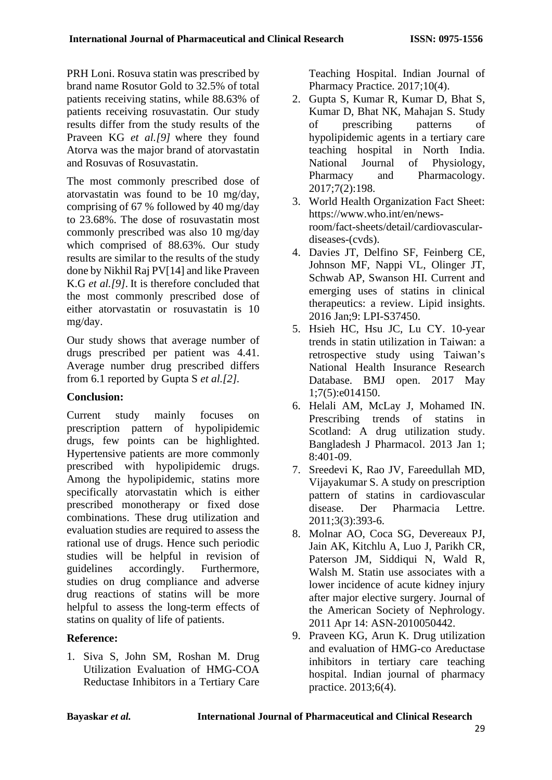PRH Loni. Rosuva statin was prescribed by brand name Rosutor Gold to 32.5% of total patients receiving statins, while 88.63% of patients receiving rosuvastatin. Our study results differ from the study results of the Praveen KG *et al.[9]* where they found Atorva was the major brand of atorvastatin and Rosuvas of Rosuvastatin.

The most commonly prescribed dose of atorvastatin was found to be 10 mg/day, comprising of 67 % followed by 40 mg/day to 23.68%. The dose of rosuvastatin most commonly prescribed was also 10 mg/day which comprised of 88.63%. Our study results are similar to the results of the study done by Nikhil Raj PV[14] and like Praveen K.G *et al.[9]*. It is therefore concluded that the most commonly prescribed dose of either atorvastatin or rosuvastatin is 10 mg/day.

Our study shows that average number of drugs prescribed per patient was 4.41. Average number drug prescribed differs from 6.1 reported by Gupta S *et al.[2].*

## **Conclusion:**

Current study mainly focuses on prescription pattern of hypolipidemic drugs, few points can be highlighted. Hypertensive patients are more commonly prescribed with hypolipidemic drugs. Among the hypolipidemic, statins more specifically atorvastatin which is either prescribed monotherapy or fixed dose combinations. These drug utilization and evaluation studies are required to assess the rational use of drugs. Hence such periodic studies will be helpful in revision of guidelines accordingly. Furthermore, studies on drug compliance and adverse drug reactions of statins will be more helpful to assess the long-term effects of statins on quality of life of patients.

## **Reference:**

1. Siva S, John SM, Roshan M. Drug Utilization Evaluation of HMG-COA Reductase Inhibitors in a Tertiary Care Teaching Hospital. Indian Journal of Pharmacy Practice. 2017;10(4).

- 2. Gupta S, Kumar R, Kumar D, Bhat S, Kumar D, Bhat NK, Mahajan S. Study of prescribing patterns of hypolipidemic agents in a tertiary care teaching hospital in North India.<br>National Journal of Physiology, National Journal of Physiology, Pharmacy and Pharmacology. 2017;7(2):198.
- 3. World Health Organization Fact Sheet: [https://www.who.int/en/news](https://www.who.int/en/news-room/fact-sheets/detail/cardiovascular-diseases-(cvds))[room/fact-sheets/detail/cardiovascular](https://www.who.int/en/news-room/fact-sheets/detail/cardiovascular-diseases-(cvds))[diseases-\(cvds\).](https://www.who.int/en/news-room/fact-sheets/detail/cardiovascular-diseases-(cvds))
- 4. Davies JT, Delfino SF, Feinberg CE, Johnson MF, Nappi VL, Olinger JT, Schwab AP, Swanson HI. Current and emerging uses of statins in clinical therapeutics: a review. Lipid insights. 2016 Jan;9: LPI-S37450.
- 5. Hsieh HC, Hsu JC, Lu CY. 10-year trends in statin utilization in Taiwan: a retrospective study using Taiwan's National Health Insurance Research Database. BMJ open. 2017 May 1;7(5):e014150.
- 6. Helali AM, McLay J, Mohamed IN. Prescribing trends of statins in Scotland: A drug utilization study. Bangladesh J Pharmacol. 2013 Jan 1; 8:401-09.
- 7. Sreedevi K, Rao JV, Fareedullah MD, Vijayakumar S. A study on prescription pattern of statins in cardiovascular disease. Der Pharmacia Lettre. 2011;3(3):393-6.
- 8. Molnar AO, Coca SG, Devereaux PJ, Jain AK, Kitchlu A, Luo J, Parikh CR, Paterson JM, Siddiqui N, Wald R, Walsh M. Statin use associates with a lower incidence of acute kidney injury after major elective surgery. Journal of the American Society of Nephrology. 2011 Apr 14: ASN-2010050442.
- 9. Praveen KG, Arun K. Drug utilization and evaluation of HMG-co Areductase inhibitors in tertiary care teaching hospital. Indian journal of pharmacy practice. 2013;6(4).